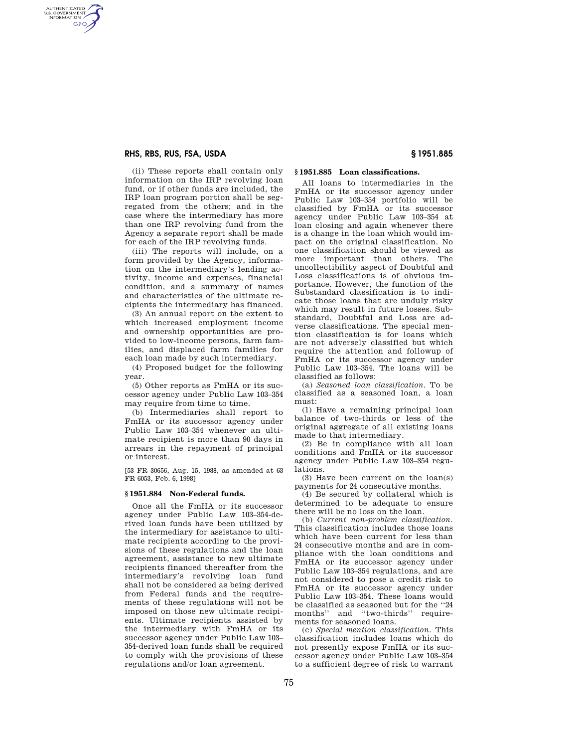### **RHS, RBS, RUS, FSA, USDA § 1951.885**

AUTHENTICATED<br>U.S. GOVERNMENT<br>INFORMATION **GPO** 

> (ii) These reports shall contain only information on the IRP revolving loan fund, or if other funds are included, the IRP loan program portion shall be segregated from the others; and in the case where the intermediary has more than one IRP revolving fund from the Agency a separate report shall be made for each of the IRP revolving funds.

> (iii) The reports will include, on a form provided by the Agency, information on the intermediary's lending activity, income and expenses, financial condition, and a summary of names and characteristics of the ultimate recipients the intermediary has financed.

> (3) An annual report on the extent to which increased employment income and ownership opportunities are provided to low-income persons, farm families, and displaced farm families for each loan made by such intermediary.

(4) Proposed budget for the following year.

(5) Other reports as FmHA or its successor agency under Public Law 103–354 may require from time to time.

(b) Intermediaries shall report to FmHA or its successor agency under Public Law 103–354 whenever an ultimate recipient is more than 90 days in arrears in the repayment of principal or interest.

[53 FR 30656, Aug. 15, 1988, as amended at 63 FR 6053, Feb. 6, 1998]

### **§ 1951.884 Non-Federal funds.**

Once all the FmHA or its successor agency under Public Law 103–354-derived loan funds have been utilized by the intermediary for assistance to ultimate recipients according to the provisions of these regulations and the loan agreement, assistance to new ultimate recipients financed thereafter from the intermediary's revolving loan fund shall not be considered as being derived from Federal funds and the requirements of these regulations will not be imposed on those new ultimate recipients. Ultimate recipients assisted by the intermediary with FmHA or its successor agency under Public Law 103– 354-derived loan funds shall be required to comply with the provisions of these regulations and/or loan agreement.

## **§ 1951.885 Loan classifications.**

All loans to intermediaries in the FmHA or its successor agency under Public Law 103–354 portfolio will be classified by FmHA or its successor agency under Public Law 103–354 at loan closing and again whenever there is a change in the loan which would impact on the original classification. No one classification should be viewed as more important than others. The uncollectibility aspect of Doubtful and Loss classifications is of obvious importance. However, the function of the Substandard classification is to indicate those loans that are unduly risky which may result in future losses. Substandard, Doubtful and Loss are adverse classifications. The special mention classification is for loans which are not adversely classified but which require the attention and followup of FmHA or its successor agency under Public Law 103–354. The loans will be classified as follows:

(a) *Seasoned loan classification.* To be classified as a seasoned loan, a loan must:

(1) Have a remaining principal loan balance of two-thirds or less of the original aggregate of all existing loans made to that intermediary.

(2) Be in compliance with all loan conditions and FmHA or its successor agency under Public Law 103–354 regulations.

(3) Have been current on the loan(s) payments for 24 consecutive months.

(4) Be secured by collateral which is determined to be adequate to ensure there will be no loss on the loan.

(b) *Current non-problem classification.*  This classification includes those loans which have been current for less than 24 consecutive months and are in compliance with the loan conditions and FmHA or its successor agency under Public Law 103–354 regulations, and are not considered to pose a credit risk to FmHA or its successor agency under Public Law 103–354. These loans would be classified as seasoned but for the ''24 months'' and ''two-thirds'' requirements for seasoned loans.

(c) *Special mention classification.* This classification includes loans which do not presently expose FmHA or its successor agency under Public Law 103–354 to a sufficient degree of risk to warrant